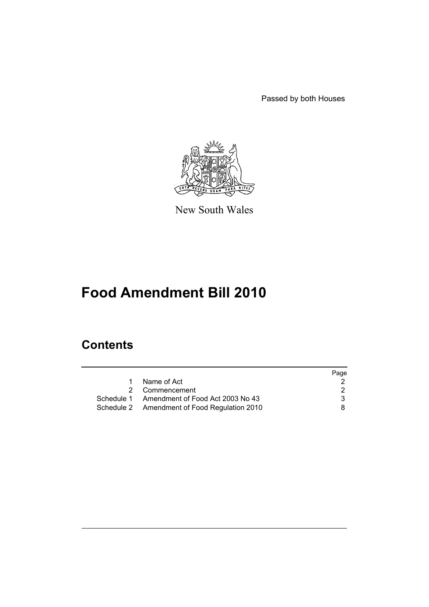Passed by both Houses



New South Wales

# **Food Amendment Bill 2010**

# **Contents**

|                                              | Page |
|----------------------------------------------|------|
| Name of Act                                  |      |
| 2 Commencement                               |      |
| Schedule 1 Amendment of Food Act 2003 No 43  | 3    |
| Schedule 2 Amendment of Food Regulation 2010 | 8.   |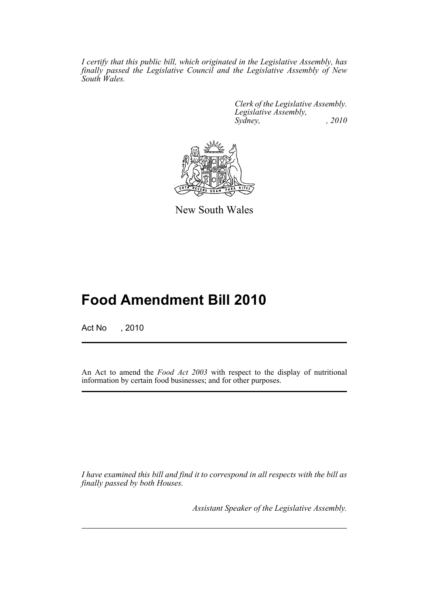*I certify that this public bill, which originated in the Legislative Assembly, has finally passed the Legislative Council and the Legislative Assembly of New South Wales.*

> *Clerk of the Legislative Assembly. Legislative Assembly, Sydney, , 2010*



New South Wales

# **Food Amendment Bill 2010**

Act No , 2010

An Act to amend the *Food Act 2003* with respect to the display of nutritional information by certain food businesses; and for other purposes.

*I have examined this bill and find it to correspond in all respects with the bill as finally passed by both Houses.*

*Assistant Speaker of the Legislative Assembly.*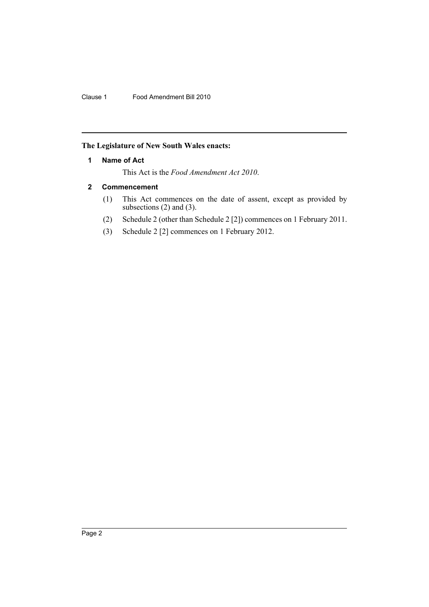# <span id="page-3-0"></span>**The Legislature of New South Wales enacts:**

# **1 Name of Act**

This Act is the *Food Amendment Act 2010*.

# <span id="page-3-1"></span>**2 Commencement**

- (1) This Act commences on the date of assent, except as provided by subsections (2) and (3).
- (2) Schedule 2 (other than Schedule 2 [2]) commences on 1 February 2011.
- (3) Schedule 2 [2] commences on 1 February 2012.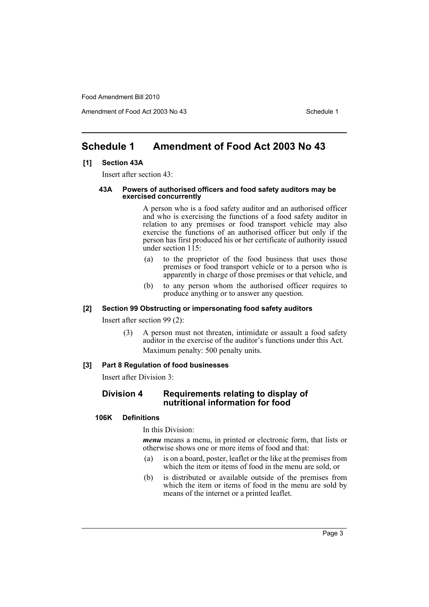Amendment of Food Act 2003 No 43 Schedule 1

# <span id="page-4-0"></span>**Schedule 1 Amendment of Food Act 2003 No 43**

## **[1] Section 43A**

Insert after section 43:

#### **43A Powers of authorised officers and food safety auditors may be exercised concurrently**

A person who is a food safety auditor and an authorised officer and who is exercising the functions of a food safety auditor in relation to any premises or food transport vehicle may also exercise the functions of an authorised officer but only if the person has first produced his or her certificate of authority issued under section 115:

- (a) to the proprietor of the food business that uses those premises or food transport vehicle or to a person who is apparently in charge of those premises or that vehicle, and
- (b) to any person whom the authorised officer requires to produce anything or to answer any question.

#### **[2] Section 99 Obstructing or impersonating food safety auditors**

Insert after section 99 (2):

(3) A person must not threaten, intimidate or assault a food safety auditor in the exercise of the auditor's functions under this Act. Maximum penalty: 500 penalty units.

#### **[3] Part 8 Regulation of food businesses**

Insert after Division 3:

# **Division 4 Requirements relating to display of nutritional information for food**

## **106K Definitions**

#### In this Division:

*menu* means a menu, in printed or electronic form, that lists or otherwise shows one or more items of food and that:

- (a) is on a board, poster, leaflet or the like at the premises from which the item or items of food in the menu are sold, or
- (b) is distributed or available outside of the premises from which the item or items of food in the menu are sold by means of the internet or a printed leaflet.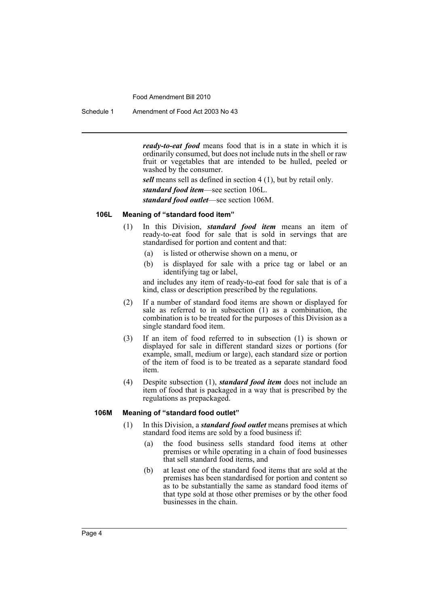Schedule 1 Amendment of Food Act 2003 No 43

*ready-to-eat food* means food that is in a state in which it is ordinarily consumed, but does not include nuts in the shell or raw fruit or vegetables that are intended to be hulled, peeled or washed by the consumer.

*sell* means sell as defined in section 4 (1), but by retail only.

*standard food item*—see section 106L.

*standard food outlet*—see section 106M.

#### **106L Meaning of "standard food item"**

- (1) In this Division, *standard food item* means an item of ready-to-eat food for sale that is sold in servings that are standardised for portion and content and that:
	- (a) is listed or otherwise shown on a menu, or
	- (b) is displayed for sale with a price tag or label or an identifying tag or label,

and includes any item of ready-to-eat food for sale that is of a kind, class or description prescribed by the regulations.

- (2) If a number of standard food items are shown or displayed for sale as referred to in subsection (1) as a combination, the combination is to be treated for the purposes of this Division as a single standard food item.
- (3) If an item of food referred to in subsection (1) is shown or displayed for sale in different standard sizes or portions (for example, small, medium or large), each standard size or portion of the item of food is to be treated as a separate standard food item.
- (4) Despite subsection (1), *standard food item* does not include an item of food that is packaged in a way that is prescribed by the regulations as prepackaged.

#### **106M Meaning of "standard food outlet"**

- (1) In this Division, a *standard food outlet* means premises at which standard food items are sold by a food business if:
	- (a) the food business sells standard food items at other premises or while operating in a chain of food businesses that sell standard food items, and
	- (b) at least one of the standard food items that are sold at the premises has been standardised for portion and content so as to be substantially the same as standard food items of that type sold at those other premises or by the other food businesses in the chain.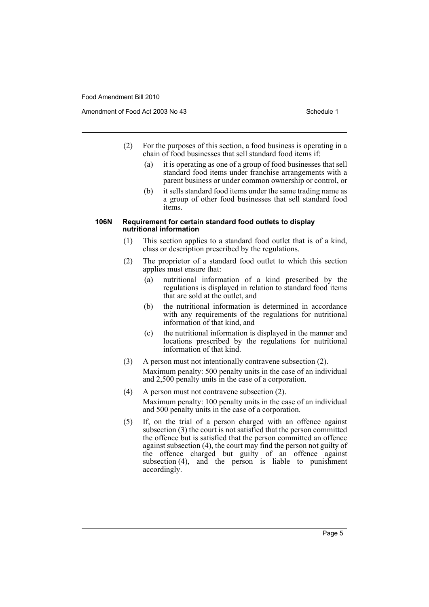Amendment of Food Act 2003 No 43 Schedule 1

- (2) For the purposes of this section, a food business is operating in a chain of food businesses that sell standard food items if:
	- (a) it is operating as one of a group of food businesses that sell standard food items under franchise arrangements with a parent business or under common ownership or control, or
	- (b) it sells standard food items under the same trading name as a group of other food businesses that sell standard food items.

#### **106N Requirement for certain standard food outlets to display nutritional information**

- (1) This section applies to a standard food outlet that is of a kind, class or description prescribed by the regulations.
- (2) The proprietor of a standard food outlet to which this section applies must ensure that:
	- (a) nutritional information of a kind prescribed by the regulations is displayed in relation to standard food items that are sold at the outlet, and
	- (b) the nutritional information is determined in accordance with any requirements of the regulations for nutritional information of that kind, and
	- (c) the nutritional information is displayed in the manner and locations prescribed by the regulations for nutritional information of that kind.
- (3) A person must not intentionally contravene subsection (2). Maximum penalty: 500 penalty units in the case of an individual and 2,500 penalty units in the case of a corporation.
- (4) A person must not contravene subsection (2). Maximum penalty: 100 penalty units in the case of an individual and 500 penalty units in the case of a corporation.
- (5) If, on the trial of a person charged with an offence against subsection (3) the court is not satisfied that the person committed the offence but is satisfied that the person committed an offence against subsection  $(4)$ , the court may find the person not guilty of the offence charged but guilty of an offence against subsection (4), and the person is liable to punishment accordingly.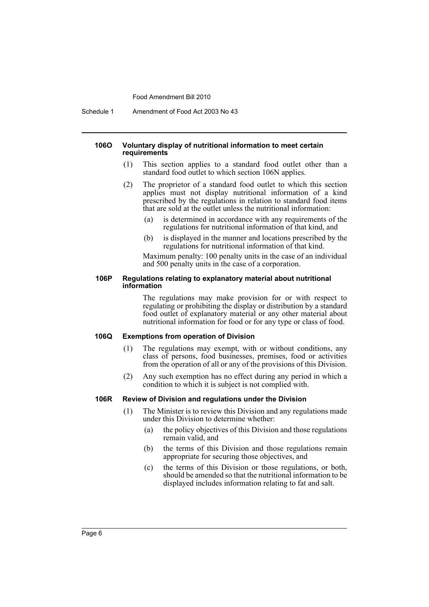Schedule 1 Amendment of Food Act 2003 No 43

#### **106O Voluntary display of nutritional information to meet certain requirements**

- (1) This section applies to a standard food outlet other than a standard food outlet to which section 106N applies.
- (2) The proprietor of a standard food outlet to which this section applies must not display nutritional information of a kind prescribed by the regulations in relation to standard food items that are sold at the outlet unless the nutritional information:
	- (a) is determined in accordance with any requirements of the regulations for nutritional information of that kind, and
	- (b) is displayed in the manner and locations prescribed by the regulations for nutritional information of that kind.

Maximum penalty: 100 penalty units in the case of an individual and 500 penalty units in the case of a corporation.

#### **106P Regulations relating to explanatory material about nutritional information**

The regulations may make provision for or with respect to regulating or prohibiting the display or distribution by a standard food outlet of explanatory material or any other material about nutritional information for food or for any type or class of food.

#### **106Q Exemptions from operation of Division**

- (1) The regulations may exempt, with or without conditions, any class of persons, food businesses, premises, food or activities from the operation of all or any of the provisions of this Division.
- (2) Any such exemption has no effect during any period in which a condition to which it is subject is not complied with.

#### **106R Review of Division and regulations under the Division**

- (1) The Minister is to review this Division and any regulations made under this Division to determine whether:
	- (a) the policy objectives of this Division and those regulations remain valid, and
	- (b) the terms of this Division and those regulations remain appropriate for securing those objectives, and
	- (c) the terms of this Division or those regulations, or both, should be amended so that the nutritional information to be displayed includes information relating to fat and salt.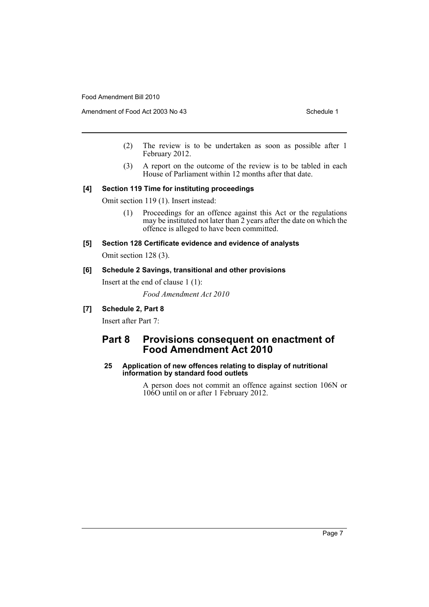- (2) The review is to be undertaken as soon as possible after 1 February 2012.
- (3) A report on the outcome of the review is to be tabled in each House of Parliament within 12 months after that date.

#### **[4] Section 119 Time for instituting proceedings**

Omit section 119 (1). Insert instead:

- (1) Proceedings for an offence against this Act or the regulations may be instituted not later than 2 years after the date on which the offence is alleged to have been committed.
- **[5] Section 128 Certificate evidence and evidence of analysts** Omit section 128 (3).

#### **[6] Schedule 2 Savings, transitional and other provisions**

Insert at the end of clause 1 (1):

*Food Amendment Act 2010*

## **[7] Schedule 2, Part 8**

Insert after Part 7:

# **Part 8 Provisions consequent on enactment of Food Amendment Act 2010**

## **25 Application of new offences relating to display of nutritional information by standard food outlets**

A person does not commit an offence against section 106N or 106O until on or after 1 February 2012.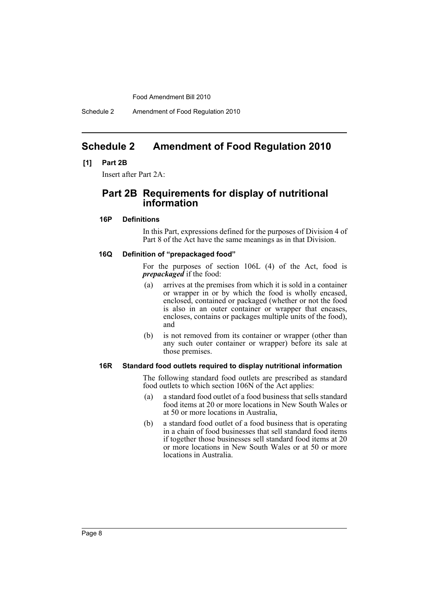Schedule 2 Amendment of Food Regulation 2010

# <span id="page-9-0"></span>**Schedule 2 Amendment of Food Regulation 2010**

#### **[1] Part 2B**

Insert after Part 2A:

# **Part 2B Requirements for display of nutritional information**

## **16P Definitions**

In this Part, expressions defined for the purposes of Division 4 of Part 8 of the Act have the same meanings as in that Division.

### **16Q Definition of "prepackaged food"**

For the purposes of section 106L (4) of the Act, food is *prepackaged* if the food:

- (a) arrives at the premises from which it is sold in a container or wrapper in or by which the food is wholly encased, enclosed, contained or packaged (whether or not the food is also in an outer container or wrapper that encases, encloses, contains or packages multiple units of the food), and
- (b) is not removed from its container or wrapper (other than any such outer container or wrapper) before its sale at those premises.

#### **16R Standard food outlets required to display nutritional information**

The following standard food outlets are prescribed as standard food outlets to which section 106N of the Act applies:

- (a) a standard food outlet of a food business that sells standard food items at 20 or more locations in New South Wales or at 50 or more locations in Australia,
- (b) a standard food outlet of a food business that is operating in a chain of food businesses that sell standard food items if together those businesses sell standard food items at 20 or more locations in New South Wales or at 50 or more locations in Australia.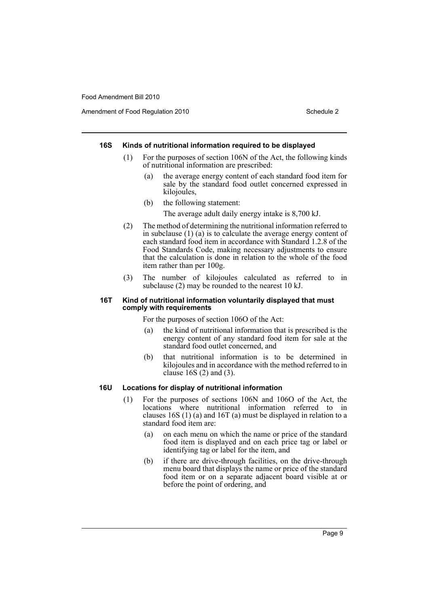Amendment of Food Regulation 2010 Schedule 2

#### **16S Kinds of nutritional information required to be displayed**

- (1) For the purposes of section 106N of the Act, the following kinds of nutritional information are prescribed:
	- (a) the average energy content of each standard food item for sale by the standard food outlet concerned expressed in kilojoules,
	- (b) the following statement:
		- The average adult daily energy intake is 8,700 kJ.
- (2) The method of determining the nutritional information referred to in subclause (1) (a) is to calculate the average energy content of each standard food item in accordance with Standard 1.2.8 of the Food Standards Code, making necessary adjustments to ensure that the calculation is done in relation to the whole of the food item rather than per 100g.
- (3) The number of kilojoules calculated as referred to in subclause (2) may be rounded to the nearest 10 kJ.

#### **16T Kind of nutritional information voluntarily displayed that must comply with requirements**

For the purposes of section 106O of the Act:

- (a) the kind of nutritional information that is prescribed is the energy content of any standard food item for sale at the standard food outlet concerned, and
- (b) that nutritional information is to be determined in kilojoules and in accordance with the method referred to in clause 16S (2) and (3).

## **16U Locations for display of nutritional information**

- (1) For the purposes of sections 106N and 106O of the Act, the locations where nutritional information referred to in clauses 16S (1) (a) and 16T (a) must be displayed in relation to a standard food item are:
	- (a) on each menu on which the name or price of the standard food item is displayed and on each price tag or label or identifying tag or label for the item, and
	- (b) if there are drive-through facilities, on the drive-through menu board that displays the name or price of the standard food item or on a separate adjacent board visible at or before the point of ordering, and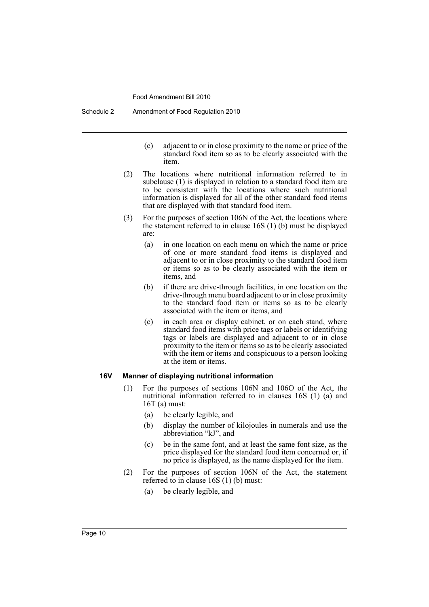Schedule 2 Amendment of Food Regulation 2010

- (c) adjacent to or in close proximity to the name or price of the standard food item so as to be clearly associated with the item.
- (2) The locations where nutritional information referred to in subclause (1) is displayed in relation to a standard food item are to be consistent with the locations where such nutritional information is displayed for all of the other standard food items that are displayed with that standard food item.
- (3) For the purposes of section 106N of the Act, the locations where the statement referred to in clause 16S (1) (b) must be displayed are:
	- (a) in one location on each menu on which the name or price of one or more standard food items is displayed and adjacent to or in close proximity to the standard food item or items so as to be clearly associated with the item or items, and
	- (b) if there are drive-through facilities, in one location on the drive-through menu board adjacent to or in close proximity to the standard food item or items so as to be clearly associated with the item or items, and
	- (c) in each area or display cabinet, or on each stand, where standard food items with price tags or labels or identifying tags or labels are displayed and adjacent to or in close proximity to the item or items so as to be clearly associated with the item or items and conspicuous to a person looking at the item or items.

## **16V Manner of displaying nutritional information**

- (1) For the purposes of sections 106N and 106O of the Act, the nutritional information referred to in clauses 16S (1) (a) and 16T (a) must:
	- (a) be clearly legible, and
	- (b) display the number of kilojoules in numerals and use the abbreviation "kJ", and
	- (c) be in the same font, and at least the same font size, as the price displayed for the standard food item concerned or, if no price is displayed, as the name displayed for the item.
- (2) For the purposes of section 106N of the Act, the statement referred to in clause  $16S(1)$  (b) must:
	- (a) be clearly legible, and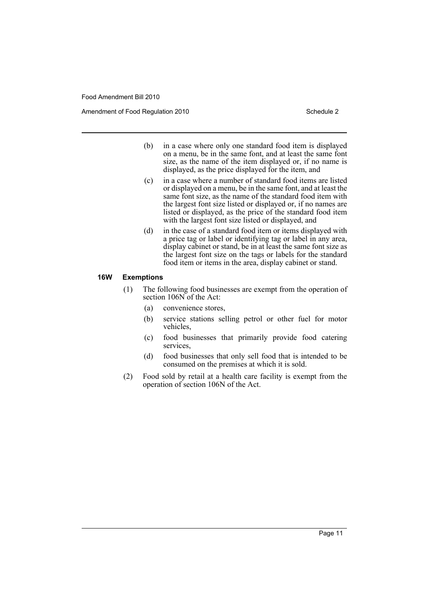Amendment of Food Regulation 2010 Schedule 2

- (b) in a case where only one standard food item is displayed on a menu, be in the same font, and at least the same font size, as the name of the item displayed or, if no name is displayed, as the price displayed for the item, and
- (c) in a case where a number of standard food items are listed or displayed on a menu, be in the same font, and at least the same font size, as the name of the standard food item with the largest font size listed or displayed or, if no names are listed or displayed, as the price of the standard food item with the largest font size listed or displayed, and
- (d) in the case of a standard food item or items displayed with a price tag or label or identifying tag or label in any area, display cabinet or stand, be in at least the same font size as the largest font size on the tags or labels for the standard food item or items in the area, display cabinet or stand.

#### **16W Exemptions**

- (1) The following food businesses are exempt from the operation of section 106N of the Act:
	- (a) convenience stores,
	- (b) service stations selling petrol or other fuel for motor vehicles,
	- (c) food businesses that primarily provide food catering services,
	- (d) food businesses that only sell food that is intended to be consumed on the premises at which it is sold.
- (2) Food sold by retail at a health care facility is exempt from the operation of section 106N of the Act.